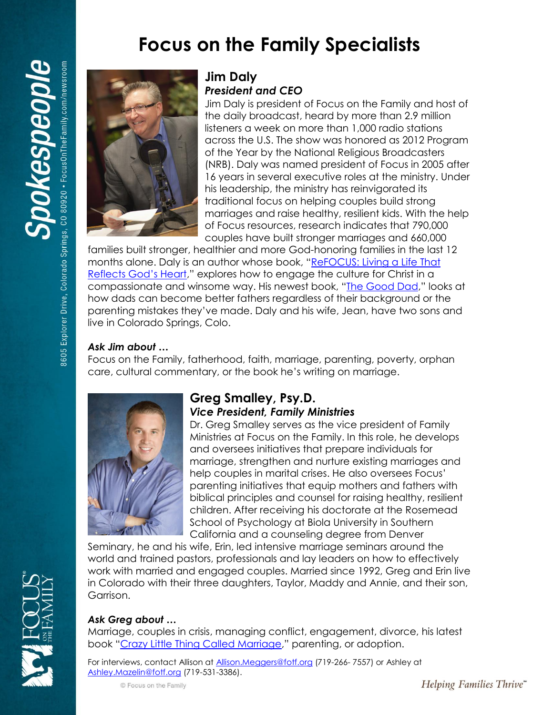# **Focus on the Family Specialists**



CO 80920 • FocusOnTheFamily.com/newsroom

Springs,

8605 Explorer Drive, Colorado

pokespeop

## **Jim Daly** *President and CEO*

Jim Daly is president of Focus on the Family and host of the daily broadcast, heard by more than 2.9 million listeners a week on more than 1,000 radio stations across the U.S. The show was honored as 2012 Program of the Year by the National Religious Broadcasters (NRB). Daly was named president of Focus in 2005 after 16 years in several executive roles at the ministry. Under his leadership, the ministry has reinvigorated its traditional focus on helping couples build strong marriages and raise healthy, resilient kids. With the help of Focus resources, research indicates that 790,000 couples have built stronger marriages and 660,000

families built stronger, healthier and more God-honoring families in the last 12 months alone. Daly is an author whose book, "ReFOCUS: Living a Life That Reflect[s God's Heart,](http://family.christianbook.com/refocus-living-that-reflects-gods-heart/jim-daly/9780310331766/pd/331766)" explores how to engage the culture for Christ in a compassionate and winsome way. His newest book, "[The Good Dad](http://family.christianbook.com/good-becoming-father-you-were-meant/jim-daly/9780310331797/pd/331797)," looks at how dads can become better fathers regardless of their background or the parenting mistakes they've made. Daly and his wife, Jean, have two sons and live in Colorado Springs, Colo.

#### *Ask Jim about …*

Focus on the Family, fatherhood, faith, marriage, parenting, poverty, orphan care, cultural commentary, or the book he's writing on marriage.



## **Greg Smalley, Psy.D.** *Vice President, Family Ministries*

Dr. Greg Smalley serves as the vice president of Family Ministries at Focus on the Family. In this role, he develops and oversees initiatives that prepare individuals for marriage, strengthen and nurture existing marriages and help couples in marital crises. He also oversees Focus' parenting initiatives that equip mothers and fathers with biblical principles and counsel for raising healthy, resilient children. After receiving his doctorate at the Rosemead School of Psychology at Biola University in Southern California and a counseling degree from Denver

Seminary, he and his wife, Erin, led intensive marriage seminars around the world and trained pastors, professionals and lay leaders on how to effectively work with married and engaged couples. Married since 1992, Greg and Erin live in Colorado with their three daughters, Taylor, Maddy and Annie, and their son, Garrison.

## *Ask Greg about …*

Marriage, couples in crisis, managing conflict, engagement, divorce, his latest book "[Crazy Little Thing Called Marriage](http://www.focusonthefamily.com/marriage/promos/crazy-little-thing-called-marriage)," parenting, or adoption.

For interviews, contact Allison at [Allison.Meggers@fotf.org](mailto:Allison.Meggers@fotf.org) (719-266-7557) or Ashley at [Ashley.Mazelin@fotf.org](mailto:Ashley.Mazelin@fotf.org) (719-531-3386).

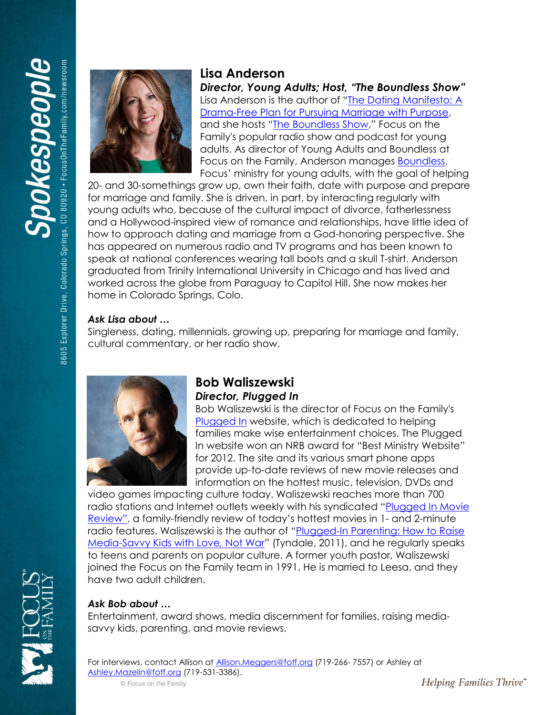

## **Lisa Anderson**

*Director, Young Adults; Host, "The Boundless Show"* Lisa Anderson is the author of "[The Dating Manifesto: A](http://family.christianbook.com/dating-manifesto-drama-pursuing-marriage-purpose/lisa-anderson/9781434708878/pd/708872?p=1159433&event=ORC)  [Drama-Free Plan for Pursuing Marriage with Purpose,](http://family.christianbook.com/dating-manifesto-drama-pursuing-marriage-purpose/lisa-anderson/9781434708878/pd/708872?p=1159433&event=ORC) and she hosts "[The Boundless Show](http://www.boundless.org/podcast-section#P=0)," Focus on the Family's popular radio show and podcast for young adults. As director of Young Adults and Boundless at Focus on the Family, Anderson manages [Boundless,](http://www.boundless.org/) Focus' ministry for young adults, with the goal of helping

20- and 30-somethings grow up, own their faith, date with purpose and prepare for marriage and family. She is driven, in part, by interacting regularly with young adults who, because of the cultural impact of divorce, fatherlessness and a Hollywood-inspired view of romance and relationships, have little idea of how to approach dating and marriage from a God-honoring perspective. She has appeared on numerous radio and TV programs and has been known to speak at national conferences wearing tall boots and a skull T-shirt. Anderson graduated from Trinity International University in Chicago and has lived and worked across the globe from Paraguay to Capitol Hill. She now makes her home in Colorado Springs, Colo.

#### *Ask Lisa about …*

Singleness, dating, millennials, growing up, preparing for marriage and family, cultural commentary, or her radio show.



## **Bob Waliszewski**  *Director, Plugged In*

Bob Waliszewski is the director of Focus on the Family's [Plugged In](http://www.pluggedin.com/) website, which is dedicated to helping families make wise entertainment choices. The Plugged In website won an NRB award for "Best Ministry Website" for 2012. The site and its various smart phone apps provide up-to-date reviews of new movie releases and information on the hottest music, television, DVDs and

video games impacting culture today. Waliszewski reaches more than 700 radio stations and Internet outlets weekly with his syndicated "Plugged In Movie [Review](http://www.focusonthefamily.com/popups/media_player.aspx?&FAMILYTYPE=null&Tab=Shows&subcategory=PluggedInMovieReviews)*"*, a family-friendly review of today's hottest movies in 1- and 2-minute radio features. Waliszewski is the author of "[Plugged-In Parenting: How to Raise](http://family.christianbook.com/plugged-parenting-media-savvy-not-war/bob-waliszewski/9781589976245/pd/976245?item_code=WW&netp_id=873112&event=ESRCG&view=details)  [Media-Savvy Kids with Love](http://family.christianbook.com/plugged-parenting-media-savvy-not-war/bob-waliszewski/9781589976245/pd/976245?item_code=WW&netp_id=873112&event=ESRCG&view=details)*,* Not War" (Tyndale, 2011), and he regularly speaks to teens and parents on popular culture. A former youth pastor, Waliszewski joined the Focus on the Family team in 1991. He is married to Leesa, and they have two adult children.

## *Ask Bob about …*

Entertainment, award shows, media discernment for families, raising mediasavvy kids, parenting, and movie reviews.

For interviews, contact Allison at [Allison.Meggers@fotf.org](mailto:Allison.Meggers@fotf.org) (719-266- 7557) or Ashley at [Ashley.Mazelin@fotf.org](mailto:Ashley.Mazelin@fotf.org) (719-531-3386).

© Focus on the Family

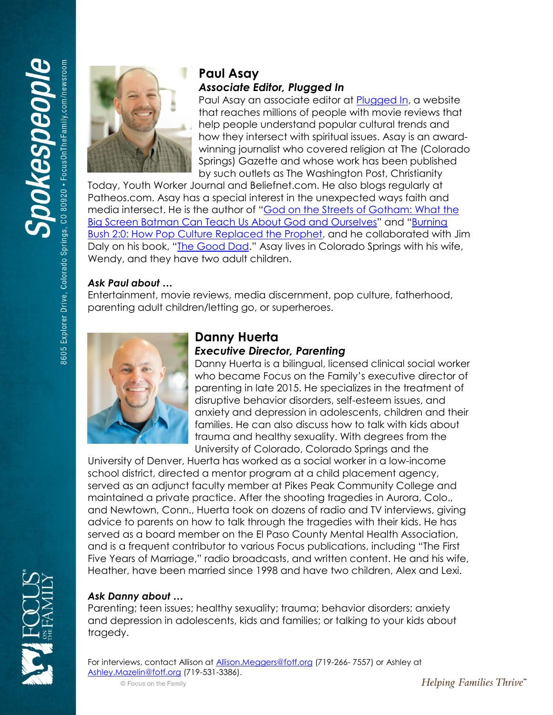

## **Paul Asay** *Associate Editor, Plugged In*

Paul Asay an associate editor at [Plugged In,](http://www.pluggedin.com/) a website that reaches millions of people with movie reviews that help people understand popular cultural trends and how they intersect with spiritual issues. Asay is an awardwinning journalist who covered religion at The (Colorado Springs) Gazette and whose work has been published by such outlets as The Washington Post, Christianity

Today, Youth Worker Journal and Beliefnet.com. He also blogs regularly at Patheos.com. Asay has a special interest in the unexpected ways faith and media intersect. He is the author of "[God on the Streets of Gotham: What the](http://www.amazon.com/God-Streets-Gotham-Screen-Ourselves/dp/141436640X/ref=tmm_pap_swatch_0?_encoding=UTF8&qid=&sr)  [Big Screen Batman Can Teach Us About God and Ourselves](http://www.amazon.com/God-Streets-Gotham-Screen-Ourselves/dp/141436640X/ref=tmm_pap_swatch_0?_encoding=UTF8&qid=&sr)" and "[Burning](http://www.amazon.com/Burning-Bush-2-0-Culture-Replaced/dp/1426787413/ref=tmm_pap_swatch_0?_encoding=UTF8&qid=&sr)  [Bush 2:0: How Pop Culture Replaced the Prophet,](http://www.amazon.com/Burning-Bush-2-0-Culture-Replaced/dp/1426787413/ref=tmm_pap_swatch_0?_encoding=UTF8&qid=&sr) and he collaborated with Jim Daly on his book, "[The Good Dad](http://family.christianbook.com/good-becoming-father-you-were-meant/jim-daly/9780310331797/pd/331797)." Asay lives in Colorado Springs with his wife, Wendy, and they have two adult children.

#### *Ask Paul about …*

Entertainment, movie reviews, media discernment, pop culture, fatherhood, parenting adult children/letting go, or superheroes.



#### **Danny Huerta**  *Executive Director, Parenting*

Danny Huerta is a bilingual, licensed clinical social worker who became Focus on the Family's executive director of parenting in late 2015. He specializes in the treatment of disruptive behavior disorders, self-esteem issues, and anxiety and depression in adolescents, children and their families. He can also discuss how to talk with kids about trauma and healthy sexuality. With degrees from the University of Colorado, Colorado Springs and the

University of Denver, Huerta has worked as a social worker in a low-income school district, directed a mentor program at a child placement agency, served as an adjunct faculty member at Pikes Peak Community College and maintained a private practice. After the shooting tragedies in Aurora, Colo., and Newtown, Conn., Huerta took on dozens of radio and TV interviews, giving advice to parents on how to talk through the tragedies with their kids. He has served as a board member on the El Paso County Mental Health Association, and is a frequent contributor to various Focus publications, including "The First Five Years of Marriage," radio broadcasts, and written content. He and his wife, Heather, have been married since 1998 and have two children, Alex and Lexi.

#### *Ask Danny about …*

Parenting; teen issues; healthy sexuality; trauma; behavior disorders; anxiety and depression in adolescents, kids and families; or talking to your kids about tragedy.

For interviews, contact Allison at [Allison.Meggers@fotf.org](mailto:Allison.Meggers@fotf.org) (719-266- 7557) or Ashley at [Ashley.Mazelin@fotf.org](mailto:Ashley.Mazelin@fotf.org) (719-531-3386).

© Focus on the Family

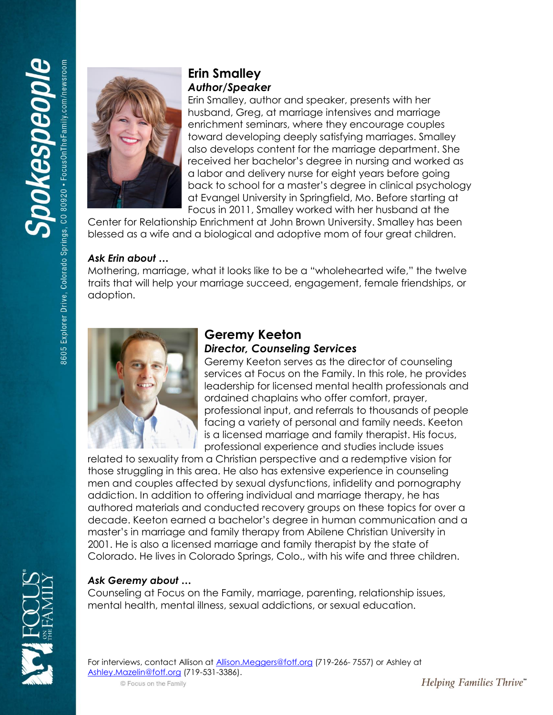CO 80920 • FocusOnTheFamily.com/newsroom pokespeop 8605 Explorer Drive, Colorado Springs,



## **Erin Smalley**  *Author/Speaker*

Erin Smalley, author and speaker, presents with her husband, Greg, at marriage intensives and marriage enrichment seminars, where they encourage couples toward developing deeply satisfying marriages. Smalley also develops content for the marriage department. She received her bachelor's degree in nursing and worked as a labor and delivery nurse for eight years before going back to school for a master's degree in clinical psychology at Evangel University in Springfield, Mo. Before starting at Focus in 2011, Smalley worked with her husband at the

Center for Relationship Enrichment at John Brown University. Smalley has been blessed as a wife and a biological and adoptive mom of four great children.

#### *Ask Erin about …*

Mothering, marriage, what it looks like to be a "wholehearted wife," the twelve traits that will help your marriage succeed, engagement, female friendships, or adoption.



#### **Geremy Keeton** *Director, Counseling Services*

Geremy Keeton serves as the director of counseling services at Focus on the Family. In this role, he provides leadership for licensed mental health professionals and ordained chaplains who offer comfort, prayer, professional input, and referrals to thousands of people facing a variety of personal and family needs. Keeton is a licensed marriage and family therapist. His focus, professional experience and studies include issues

related to sexuality from a Christian perspective and a redemptive vision for those struggling in this area. He also has extensive experience in counseling men and couples affected by sexual dysfunctions, infidelity and pornography addiction. In addition to offering individual and marriage therapy, he has authored materials and conducted recovery groups on these topics for over a decade. Keeton earned a bachelor's degree in human communication and a master's in marriage and family therapy from Abilene Christian University in 2001. He is also a licensed marriage and family therapist by the state of Colorado. He lives in Colorado Springs, Colo., with his wife and three children.

## *Ask Geremy about …*

Counseling at Focus on the Family, marriage, parenting, relationship issues, mental health, mental illness, sexual addictions, or sexual education.

© Focus on the Family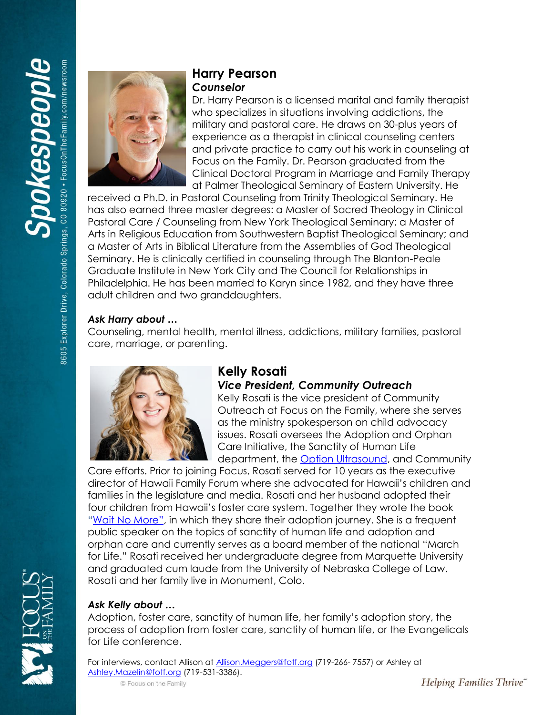

## **Harry Pearson** *Counselor*

Dr. Harry Pearson is a licensed marital and family therapist who specializes in situations involving addictions, the military and pastoral care. He draws on 30-plus years of experience as a therapist in clinical counseling centers and private practice to carry out his work in counseling at Focus on the Family. Dr. Pearson graduated from the Clinical Doctoral Program in Marriage and Family Therapy at Palmer Theological Seminary of Eastern University. He

received a Ph.D. in Pastoral Counseling from Trinity Theological Seminary. He has also earned three master degrees: a Master of Sacred Theology in Clinical Pastoral Care / Counseling from New York Theological Seminary; a Master of Arts in Religious Education from Southwestern Baptist Theological Seminary; and a Master of Arts in Biblical Literature from the Assemblies of God Theological Seminary. He is clinically certified in counseling through The Blanton-Peale Graduate Institute in New York City and The Council for Relationships in Philadelphia. He has been married to Karyn since 1982, and they have three adult children and two granddaughters.

#### *Ask Harry about …*

Counseling, mental health, mental illness, addictions, military families, pastoral care, marriage, or parenting.



## **Kelly Rosati**

#### *Vice President, Community Outreach*

Kelly Rosati is the vice president of Community Outreach at Focus on the Family, where she serves as the ministry spokesperson on child advocacy issues. Rosati oversees the Adoption and Orphan Care Initiative, the Sanctity of Human Life department, the [Option Ultrasound,](http://www.heartlink.org/oupdirectors.cfm) and Community

Care efforts. Prior to joining Focus, Rosati served for 10 years as the executive director of Hawaii Family Forum where she advocated for Hawaii's children and families in the legislature and media. Rosati and her husband adopted their four children from Hawaii's foster care system. Together they wrote the book "[Wait No More](http://family.christianbook.com/wait-more-familys-amazing-adoption-journey/john-rosati/9781589976535/pd/976535?p=1143702)", in which they share their adoption journey. She is a frequent public speaker on the topics of sanctity of human life and adoption and orphan care and currently serves as a board member of the national "March for Life." Rosati received her undergraduate degree from Marquette University and graduated cum laude from the University of Nebraska College of Law. Rosati and her family live in Monument, Colo.

## *Ask Kelly about …*

Adoption, foster care, sanctity of human life, her family's adoption story, the process of adoption from foster care, sanctity of human life, or the Evangelicals for Life conference.

For interviews, contact Allison at [Allison.Meggers@fotf.org](mailto:Allison.Meggers@fotf.org) (719-266- 7557) or Ashley at [Ashley.Mazelin@fotf.org](mailto:Ashley.Mazelin@fotf.org) (719-531-3386).

© Focus on the Family

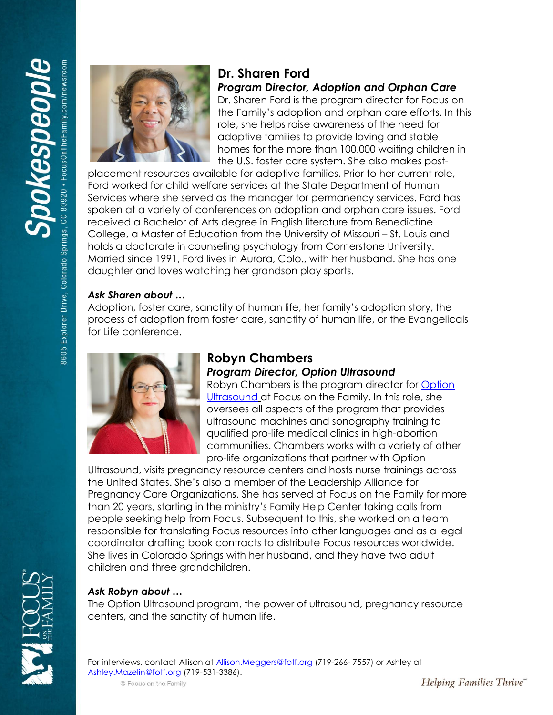

## **Dr. Sharen Ford** *Program Director, Adoption and Orphan Care*

Dr. Sharen Ford is the program director for Focus on the Family's adoption and orphan care efforts. In this role, she helps raise awareness of the need for adoptive families to provide loving and stable homes for the more than 100,000 waiting children in the U.S. foster care system. She also makes post-

placement resources available for adoptive families. Prior to her current role, Ford worked for child welfare services at the State Department of Human Services where she served as the manager for permanency services. Ford has spoken at a variety of conferences on adoption and orphan care issues. Ford received a Bachelor of Arts degree in English literature from Benedictine College, a Master of Education from the University of Missouri – St. Louis and holds a doctorate in counseling psychology from Cornerstone University. Married since 1991, Ford lives in Aurora, Colo., with her husband. She has one daughter and loves watching her grandson play sports.

#### *Ask Sharen about …*

Adoption, foster care, sanctity of human life, her family's adoption story, the process of adoption from foster care, sanctity of human life, or the Evangelicals for Life conference.



## **Robyn Chambers**

#### *Program Director, Option Ultrasound*

Robyn Chambers is the program director for [Option](http://www.heartlink.org/oupdirectors.cfm)  [Ultrasound](http://www.heartlink.org/oupdirectors.cfm) at Focus on the Family. In this role, she oversees all aspects of the program that provides ultrasound machines and sonography training to qualified pro-life medical clinics in high-abortion communities. Chambers works with a variety of other pro-life organizations that partner with Option

Ultrasound, visits pregnancy resource centers and hosts nurse trainings across the United States. She's also a member of the Leadership Alliance for Pregnancy Care Organizations. She has served at Focus on the Family for more than 20 years, starting in the ministry's Family Help Center taking calls from people seeking help from Focus. Subsequent to this, she worked on a team responsible for translating Focus resources into other languages and as a legal coordinator drafting book contracts to distribute Focus resources worldwide. She lives in Colorado Springs with her husband, and they have two adult children and three grandchildren.

## *Ask Robyn about …*

The Option Ultrasound program, the power of ultrasound, pregnancy resource centers, and the sanctity of human life.

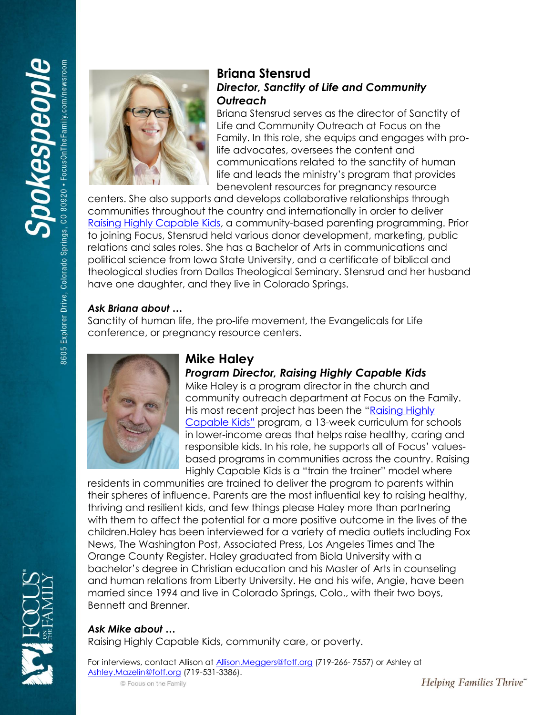

#### **Briana Stensrud** *Director, Sanctity of Life and Community Outreach*

Briana Stensrud serves as the director of Sanctity of Life and Community Outreach at Focus on the Family. In this role, she equips and engages with prolife advocates, oversees the content and communications related to the sanctity of human life and leads the ministry's program that provides benevolent resources for pregnancy resource

centers. She also supports and develops collaborative relationships through communities throughout the country and internationally in order to deliver [Raising Highly Capable Kids,](http://www.capablekids.com/) a community-based parenting programming. Prior to joining Focus, Stensrud held various donor development, marketing, public relations and sales roles. She has a Bachelor of Arts in communications and political science from Iowa State University, and a certificate of biblical and theological studies from Dallas Theological Seminary. Stensrud and her husband have one daughter, and they live in Colorado Springs.

#### *Ask Briana about …*

Sanctity of human life, the pro-life movement, the Evangelicals for Life conference, or pregnancy resource centers.



## **Mike Haley**

*Program Director, Raising Highly Capable Kids*

Mike Haley is a program director in the church and community outreach department at Focus on the Family. His most recent project has been the "Raising Highly [Capable Kids](http://www.capablekids.com/)" program, a 13-week curriculum for schools in lower-income areas that helps raise healthy, caring and responsible kids. In his role, he supports all of Focus' valuesbased programs in communities across the country. Raising Highly Capable Kids is a "train the trainer" model where

residents in communities are trained to deliver the program to parents within their spheres of influence. Parents are the most influential key to raising healthy, thriving and resilient kids, and few things please Haley more than partnering with them to affect the potential for a more positive outcome in the lives of the children.Haley has been interviewed for a variety of media outlets including Fox News, The Washington Post, Associated Press, Los Angeles Times and The Orange County Register. Haley graduated from Biola University with a bachelor's degree in Christian education and his Master of Arts in counseling and human relations from Liberty University. He and his wife, Angie, have been married since 1994 and live in Colorado Springs, Colo., with their two boys, Bennett and Brenner.

#### *Ask Mike about …*

Raising Highly Capable Kids, community care, or poverty.

For interviews, contact Allison at [Allison.Meggers@fotf.org](mailto:Allison.Meggers@fotf.org) (719-266- 7557) or Ashley at [Ashley.Mazelin@fotf.org](mailto:Ashley.Mazelin@fotf.org) (719-531-3386).

© Focus on the Family

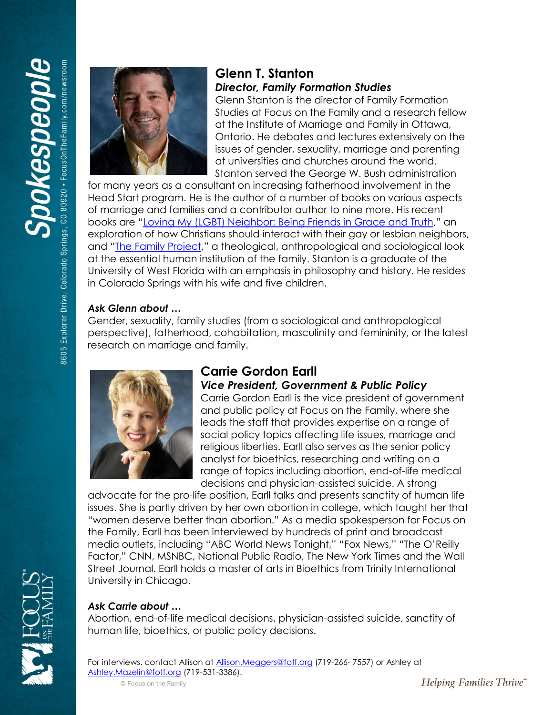

## **Glenn T. Stanton**  *Director, Family Formation Studies*

Glenn Stanton is the director of Family Formation Studies at Focus on the Family and a research fellow at the Institute of Marriage and Family in Ottawa, Ontario. He debates and lectures extensively on the issues of gender, sexuality, marriage and parenting at universities and churches around the world. Stanton served the George W. Bush administration

for many years as a consultant on increasing fatherhood involvement in the Head Start program. He is the author of a number of books on various aspects of marriage and families and a contributor author to nine more. His recent books are "[Loving My \(LGBT\) Neighbor: Being Friends in Grace and Truth](http://family.christianbook.com/loving-neighbor-being-friends-grace-truth/glenn-stanton/9780802412140/pd/412142)," an exploration of how Christians should interact with their gay or lesbian neighbors, and "[The Family Project](http://www.familyproject.com/)," a theological, anthropological and sociological look at the essential human institution of the family. Stanton is a graduate of the University of West Florida with an emphasis in philosophy and history. He resides in Colorado Springs with his wife and five children.

#### *Ask Glenn about …*

Gender, sexuality, family studies (from a sociological and anthropological perspective), fatherhood, cohabitation, masculinity and femininity, or the latest research on marriage and family.



## **Carrie Gordon Earll**

*Vice President, Government & Public Policy*

Carrie Gordon Earll is the vice president of government and public policy at Focus on the Family, where she leads the staff that provides expertise on a range of social policy topics affecting life issues, marriage and religious liberties. Earll also serves as the senior policy analyst for bioethics, researching and writing on a range of topics including abortion, end-of-life medical decisions and physician-assisted suicide. A strong

advocate for the pro-life position, Earll talks and presents sanctity of human life issues. She is partly driven by her own abortion in college, which taught her that "women deserve better than abortion." As a media spokesperson for Focus on the Family, Earll has been interviewed by hundreds of print and broadcast media outlets, including "ABC World News Tonight," "Fox News," "The O'Reilly Factor," CNN, MSNBC, National Public Radio, The New York Times and the Wall Street Journal. Earll holds a master of arts in Bioethics from Trinity International University in Chicago.

## *Ask Carrie about …*

Abortion, end-of-life medical decisions, physician-assisted suicide, sanctity of human life, bioethics, or public policy decisions.

For interviews, contact Allison at [Allison.Meggers@fotf.org](mailto:Allison.Meggers@fotf.org) (719-266- 7557) or Ashley at [Ashley.Mazelin@fotf.org](mailto:Ashley.Mazelin@fotf.org) (719-531-3386).

© Focus on the Family

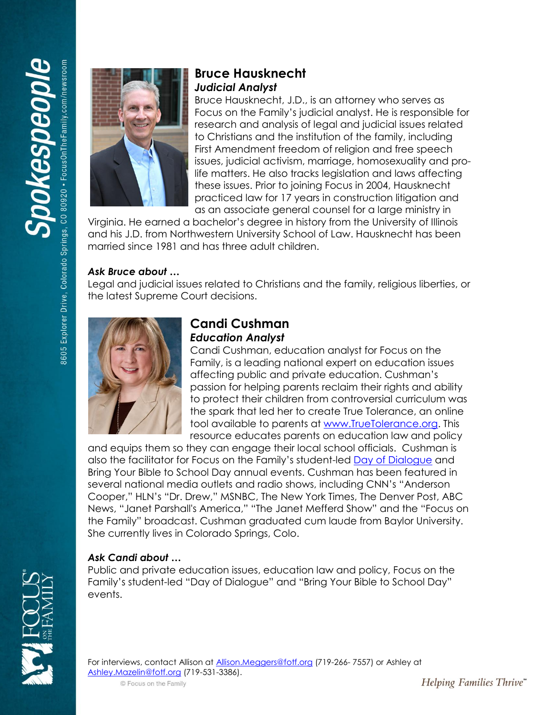

## **Bruce Hausknecht** *Judicial Analyst*

Bruce Hausknecht, J.D., is an attorney who serves as Focus on the Family's judicial analyst. He is responsible for research and analysis of legal and judicial issues related to Christians and the institution of the family, including First Amendment freedom of religion and free speech issues, judicial activism, marriage, homosexuality and prolife matters. He also tracks legislation and laws affecting these issues. Prior to joining Focus in 2004, Hausknecht practiced law for 17 years in construction litigation and as an associate general counsel for a large ministry in

Virginia. He earned a bachelor's degree in history from the University of Illinois and his J.D. from Northwestern University School of Law. Hausknecht has been married since 1981 and has three adult children.

#### *Ask Bruce about …*

Legal and judicial issues related to Christians and the family, religious liberties, or the latest Supreme Court decisions.



## **Candi Cushman** *Education Analyst*

Candi Cushman, education analyst for Focus on the Family, is a leading national expert on education issues affecting public and private education. Cushman's passion for helping parents reclaim their rights and ability to protect their children from controversial curriculum was the spark that led her to create True Tolerance, an online tool available to parents at [www.TrueTolerance.org.](file://///JOEL/Org/MinComm/DptOnly/Media%20Relations/Corporate/Templates/FOTF%20Media%20Kit%20Word%20Templates/www.TrueTolerance.org) This resource educates parents on education law and policy

and equips them so they can engage their local school officials. Cushman is also the facilitator for Focus on the Family's student-led [Day of Dialogue](http://www.dayofdialogue.com/) and Bring Your Bible to School Day annual events. Cushman has been featured in several national media outlets and radio shows, including CNN's "Anderson Cooper," HLN's "Dr. Drew," MSNBC, The New York Times, The Denver Post, ABC News, "Janet Parshall's America," "The Janet Mefferd Show" and the "Focus on the Family" broadcast. Cushman graduated cum laude from Baylor University. She currently lives in Colorado Springs, Colo.

## *Ask Candi about …*

Public and private education issues, education law and policy, Focus on the Family's student-led "Day of Dialogue" and "Bring Your Bible to School Day" events.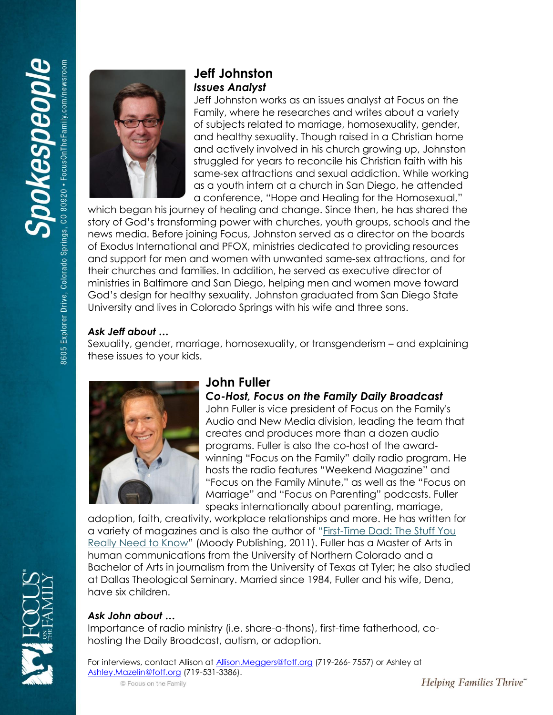80920 • FocusOnTheFamily.com/newsroom pokespeop  $\overline{0}$ 3605 Explorer Drive, Colorado Springs,



## **Jeff Johnston**  *Issues Analyst*

Jeff Johnston works as an issues analyst at Focus on the Family, where he researches and writes about a variety of subjects related to marriage, homosexuality, gender, and healthy sexuality. Though raised in a Christian home and actively involved in his church growing up, Johnston struggled for years to reconcile his Christian faith with his same-sex attractions and sexual addiction. While working as a youth intern at a church in San Diego, he attended a conference, "Hope and Healing for the Homosexual,"

which began his journey of healing and change. Since then, he has shared the story of God's transforming power with churches, youth groups, schools and the news media. Before joining Focus, Johnston served as a director on the boards of Exodus International and PFOX, ministries dedicated to providing resources and support for men and women with unwanted same-sex attractions, and for their churches and families. In addition, he served as executive director of ministries in Baltimore and San Diego, helping men and women move toward God's design for healthy sexuality. Johnston graduated from San Diego State University and lives in Colorado Springs with his wife and three sons.

#### *Ask Jeff about …*

Sexuality, gender, marriage, homosexuality, or transgenderism – and explaining these issues to your kids.



## **John Fuller**

## *Co-Host, Focus on the Family Daily Broadcast*

John Fuller is vice president of Focus on the Family's Audio and New Media division, leading the team that creates and produces more than a dozen audio programs. Fuller is also the co-host of the awardwinning "Focus on the Family" daily radio program. He hosts the radio features "Weekend Magazine" and "Focus on the Family Minute," as well as the "Focus on Marriage" and "Focus on Parenting" podcasts. Fuller speaks internationally about parenting, marriage,

adoption, faith, creativity, workplace relationships and more. He has written for a variety of magazines and is also the author of "[First-Time Dad: The Stuff You](http://www.christianbook.com/first-time-stuff-really-need-know/john-fuller/9780802487506/pd/487506?product_redirect=1&Ntt=487506&item_code=&Ntk=keywords&event=ESRCP)  [Really Need to Know](http://www.christianbook.com/first-time-stuff-really-need-know/john-fuller/9780802487506/pd/487506?product_redirect=1&Ntt=487506&item_code=&Ntk=keywords&event=ESRCP)" (Moody Publishing, 2011). Fuller has a Master of Arts in human communications from the University of Northern Colorado and a Bachelor of Arts in journalism from the University of Texas at Tyler; he also studied at Dallas Theological Seminary. Married since 1984, Fuller and his wife, Dena, have six children.

## *Ask John about …*

Importance of radio ministry (i.e. share-a-thons), first-time fatherhood, cohosting the Daily Broadcast, autism, or adoption.

For interviews, contact Allison at **Allison.Meggers@fotf.org** (719-266-7557) or Ashley at [Ashley.Mazelin@fotf.org](mailto:Ashley.Mazelin@fotf.org) (719-531-3386).

© Focus on the Family

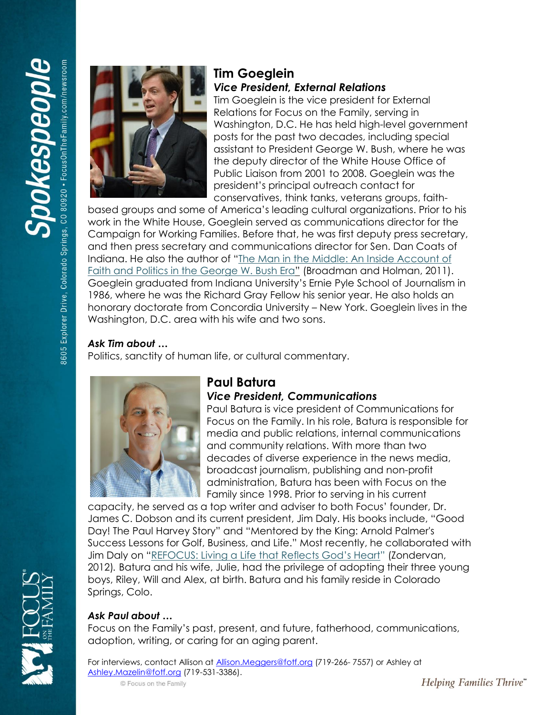80920 • FocusOnTheFamily.com/newsroom pokespeop CO 3605 Explorer Drive, Colorado Springs,



## **Tim Goeglein** *Vice President, External Relations*

Tim Goeglein is the vice president for External Relations for Focus on the Family, serving in Washington, D.C. He has held high-level government posts for the past two decades, including special assistant to President George W. Bush, where he was the deputy director of the White House Office of Public Liaison from 2001 to 2008. Goeglein was the president's principal outreach contact for conservatives, think tanks, veterans groups, faith-

based groups and some of America's leading cultural organizations. Prior to his work in the White House, Goeglein served as communications director for the Campaign for Working Families. Before that, he was first deputy press secretary, and then press secretary and communications director for Sen. Dan Coats of Indiana. He also the author of "[The Man in the Middle: An Inside Account of](http://www.christianbook.com/Christian/Books/product?item_no=672880&product_redirect=1&Ntt=672880&item_code=&Ntk=keywords&event=ESRCP)  [Faith and Politics in the George W. Bush Era](http://www.christianbook.com/Christian/Books/product?item_no=672880&product_redirect=1&Ntt=672880&item_code=&Ntk=keywords&event=ESRCP)" (Broadman and Holman, 2011). Goeglein graduated from Indiana University's Ernie Pyle School of Journalism in 1986, where he was the Richard Gray Fellow his senior year. He also holds an honorary doctorate from Concordia University – New York. Goeglein lives in the Washington, D.C. area with his wife and two sons.

#### *Ask Tim about …*

Politics, sanctity of human life, or cultural commentary.



# **Paul Batura**

*Vice President, Communications* Paul Batura is vice president of Communications for Focus on the Family. In his role, Batura is responsible for media and public relations, internal communications and community relations. With more than two decades of diverse experience in the news media, broadcast journalism, publishing and non-profit administration, Batura has been with Focus on the

Family since 1998. Prior to serving in his current capacity, he served as a top writer and adviser to both Focus' founder, Dr. James C. Dobson and its current president, Jim Daly. His books include, "Good Day! The Paul Harvey Story" and "Mentored by the King: Arnold Palmer's Success Lessons for Golf, Business, and Life." Most recently, he collaborated with Jim Daly on ["REFOCUS: Living a Life that Reflects God's Heart"](http://www.christianbook.com/refocus-living-that-reflects-gods-heart/jim-daly/9780310331766/pd/331766?product_redirect=1&Ntt=331766&item_code=&Ntk=keywords&event=ESRCP) (Zondervan, 2012)*.* Batura and his wife, Julie, had the privilege of adopting their three young boys, Riley, Will and Alex, at birth. Batura and his family reside in Colorado Springs, Colo.

#### *Ask Paul about …*

Focus on the Family's past, present, and future, fatherhood, communications, adoption, writing, or caring for an aging parent.

For interviews, contact Allison at **Allison.Meggers@fotf.org** (719-266-7557) or Ashley at [Ashley.Mazelin@fotf.org](mailto:Ashley.Mazelin@fotf.org) (719-531-3386).

© Focus on the Family